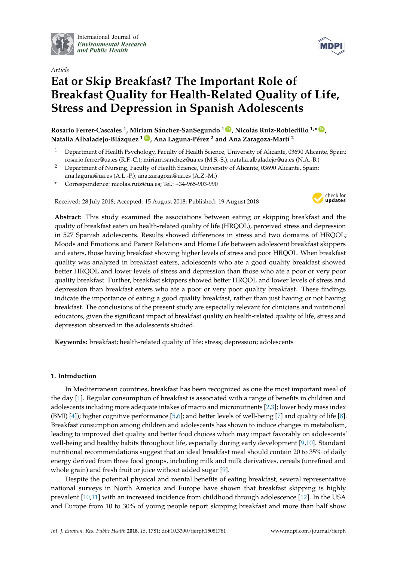

International Journal of *[Environmental Research](http://www.mdpi.com/journal/ijerph) and Public Health*



# *Article* **Eat or Skip Breakfast? The Important Role of Breakfast Quality for Health-Related Quality of Life, Stress and Depression in Spanish Adolescents**

**Rosario Ferrer-Cascales <sup>1</sup> , Miriam Sánchez-SanSegundo <sup>1</sup> [ID](https://orcid.org/0000-0003-2114-6503) , Nicolás Ruiz-Robledillo 1,\* [ID](https://orcid.org/0000-0002-7522-5162) , Natalia Albaladejo-Blázquez <sup>1</sup> [ID](https://orcid.org/0000-0002-9116-9092) , Ana Laguna-Pérez <sup>2</sup> and Ana Zaragoza-Martí 2**

- <sup>1</sup> Department of Health Psychology, Faculty of Health Science, University of Alicante, 03690 Alicante, Spain; rosario.ferrer@ua.es (R.F.-C.); miriam.sanchez@ua.es (M.S.-S.); natalia.albaladejo@ua.es (N.A.-B.)
- <sup>2</sup> Department of Nursing, Faculty of Health Science, University of Alicante, 03690 Alicante, Spain; ana.laguna@ua.es (A.L.-P.); ana.zaragoza@ua.es (A.Z.-M.)
- **\*** Correspondence: nicolas.ruiz@ua.es; Tel.: +34-965-903-990

Received: 28 July 2018; Accepted: 15 August 2018; Published: 19 August 2018



**Abstract:** This study examined the associations between eating or skipping breakfast and the quality of breakfast eaten on health-related quality of life (HRQOL), perceived stress and depression in 527 Spanish adolescents. Results showed differences in stress and two domains of HRQOL; Moods and Emotions and Parent Relations and Home Life between adolescent breakfast skippers and eaters, those having breakfast showing higher levels of stress and poor HRQOL. When breakfast quality was analyzed in breakfast eaters, adolescents who ate a good quality breakfast showed better HRQOL and lower levels of stress and depression than those who ate a poor or very poor quality breakfast. Further, breakfast skippers showed better HRQOL and lower levels of stress and depression than breakfast eaters who ate a poor or very poor quality breakfast. These findings indicate the importance of eating a good quality breakfast, rather than just having or not having breakfast. The conclusions of the present study are especially relevant for clinicians and nutritional educators, given the significant impact of breakfast quality on health-related quality of life, stress and depression observed in the adolescents studied.

**Keywords:** breakfast; health-related quality of life; stress; depression; adolescents

# **1. Introduction**

In Mediterranean countries, breakfast has been recognized as one the most important meal of the day [\[1\]](#page-7-0). Regular consumption of breakfast is associated with a range of benefits in children and adolescents including more adequate intakes of macro and micronutrients [\[2,](#page-7-1)[3\]](#page-7-2); lower body mass index (BMI) [\[4\]](#page-7-3)); higher cognitive performance [\[5,](#page-7-4)[6\]](#page-8-0); and better levels of well-being [\[7\]](#page-8-1) and quality of life [\[8\]](#page-8-2). Breakfast consumption among children and adolescents has shown to induce changes in metabolism, leading to improved diet quality and better food choices which may impact favorably on adolescents' well-being and healthy habits throughout life, especially during early development [\[9,](#page-8-3)[10\]](#page-8-4). Standard nutritional recommendations suggest that an ideal breakfast meal should contain 20 to 35% of daily energy derived from three food groups, including milk and milk derivatives, cereals (unrefined and whole grain) and fresh fruit or juice without added sugar [\[9\]](#page-8-3).

Despite the potential physical and mental benefits of eating breakfast, several representative national surveys in North America and Europe have shown that breakfast skipping is highly prevalent [\[10,](#page-8-4)[11\]](#page-8-5) with an increased incidence from childhood through adolescence [\[12\]](#page-8-6). In the USA and Europe from 10 to 30% of young people report skipping breakfast and more than half show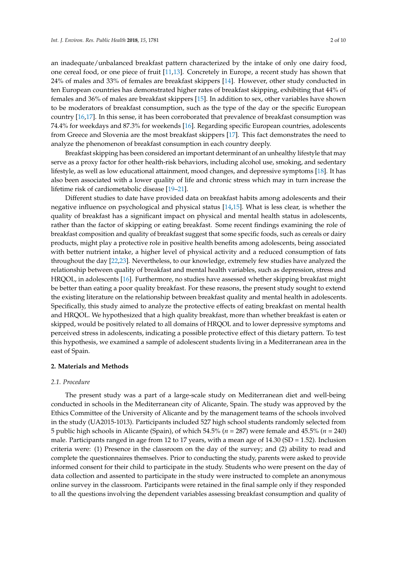an inadequate/unbalanced breakfast pattern characterized by the intake of only one dairy food, one cereal food, or one piece of fruit [\[11,](#page-8-5)[13\]](#page-8-7). Concretely in Europe, a recent study has shown that 24% of males and 33% of females are breakfast skippers [\[14\]](#page-8-8). However, other study conducted in ten European countries has demonstrated higher rates of breakfast skipping, exhibiting that 44% of females and 36% of males are breakfast skippers [\[15\]](#page-8-9). In addition to sex, other variables have shown to be moderators of breakfast consumption, such as the type of the day or the specific European country [\[16,](#page-8-10)[17\]](#page-8-11). In this sense, it has been corroborated that prevalence of breakfast consumption was 74.4% for weekdays and 87.3% for weekends [\[16\]](#page-8-10). Regarding specific European countries, adolescents from Greece and Slovenia are the most breakfast skippers [\[17\]](#page-8-11). This fact demonstrates the need to analyze the phenomenon of breakfast consumption in each country deeply.

Breakfast skipping has been considered an important determinant of an unhealthy lifestyle that may serve as a proxy factor for other health-risk behaviors, including alcohol use, smoking, and sedentary lifestyle, as well as low educational attainment, mood changes, and depressive symptoms [\[18\]](#page-8-12). It has also been associated with a lower quality of life and chronic stress which may in turn increase the lifetime risk of cardiometabolic disease [\[19–](#page-8-13)[21\]](#page-8-14).

Different studies to date have provided data on breakfast habits among adolescents and their negative influence on psychological and physical status [\[14](#page-8-8)[,15\]](#page-8-9). What is less clear, is whether the quality of breakfast has a significant impact on physical and mental health status in adolescents, rather than the factor of skipping or eating breakfast. Some recent findings examining the role of breakfast composition and quality of breakfast suggest that some specific foods, such as cereals or dairy products, might play a protective role in positive health benefits among adolescents, being associated with better nutrient intake, a higher level of physical activity and a reduced consumption of fats throughout the day [\[22](#page-8-15)[,23\]](#page-8-16). Nevertheless, to our knowledge, extremely few studies have analyzed the relationship between quality of breakfast and mental health variables, such as depression, stress and HRQOL, in adolescents [\[16\]](#page-8-10). Furthermore, no studies have assessed whether skipping breakfast might be better than eating a poor quality breakfast. For these reasons, the present study sought to extend the existing literature on the relationship between breakfast quality and mental health in adolescents. Specifically, this study aimed to analyze the protective effects of eating breakfast on mental health and HRQOL. We hypothesized that a high quality breakfast, more than whether breakfast is eaten or skipped, would be positively related to all domains of HRQOL and to lower depressive symptoms and perceived stress in adolescents, indicating a possible protective effect of this dietary pattern. To test this hypothesis, we examined a sample of adolescent students living in a Mediterranean area in the east of Spain.

## **2. Materials and Methods**

# *2.1. Procedure*

The present study was a part of a large-scale study on Mediterranean diet and well-being conducted in schools in the Mediterranean city of Alicante, Spain. The study was approved by the Ethics Committee of the University of Alicante and by the management teams of the schools involved in the study (UA2015-1013). Participants included 527 high school students randomly selected from 5 public high schools in Alicante (Spain), of which 54.5% (*n* = 287) were female and 45.5% (*n* = 240) male. Participants ranged in age from 12 to 17 years, with a mean age of 14.30 (SD = 1.52). Inclusion criteria were: (1) Presence in the classroom on the day of the survey; and (2) ability to read and complete the questionnaires themselves. Prior to conducting the study, parents were asked to provide informed consent for their child to participate in the study. Students who were present on the day of data collection and assented to participate in the study were instructed to complete an anonymous online survey in the classroom. Participants were retained in the final sample only if they responded to all the questions involving the dependent variables assessing breakfast consumption and quality of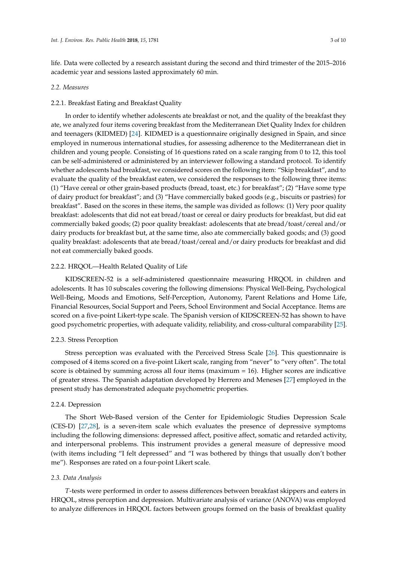life. Data were collected by a research assistant during the second and third trimester of the 2015–2016 academic year and sessions lasted approximately 60 min.

### *2.2. Measures*

## 2.2.1. Breakfast Eating and Breakfast Quality

In order to identify whether adolescents ate breakfast or not, and the quality of the breakfast they ate, we analyzed four items covering breakfast from the Mediterranean Diet Quality Index for children and teenagers (KIDMED) [\[24\]](#page-9-0). KIDMED is a questionnaire originally designed in Spain, and since employed in numerous international studies, for assessing adherence to the Mediterranean diet in children and young people. Consisting of 16 questions rated on a scale ranging from 0 to 12, this tool can be self-administered or administered by an interviewer following a standard protocol. To identify whether adolescents had breakfast, we considered scores on the following item: "Skip breakfast", and to evaluate the quality of the breakfast eaten, we considered the responses to the following three items: (1) "Have cereal or other grain-based products (bread, toast, etc.) for breakfast"; (2) "Have some type of dairy product for breakfast"; and (3) "Have commercially baked goods (e.g., biscuits or pastries) for breakfast". Based on the scores in these items, the sample was divided as follows: (1) Very poor quality breakfast: adolescents that did not eat bread/toast or cereal or dairy products for breakfast, but did eat commercially baked goods; (2) poor quality breakfast: adolescents that ate bread/toast/cereal and/or dairy products for breakfast but, at the same time, also ate commercially baked goods; and (3) good quality breakfast: adolescents that ate bread/toast/cereal and/or dairy products for breakfast and did not eat commercially baked goods.

## 2.2.2. HRQOL—Health Related Quality of Life

KIDSCREEN-52 is a self-administered questionnaire measuring HRQOL in children and adolescents. It has 10 subscales covering the following dimensions: Physical Well-Being, Psychological Well-Being, Moods and Emotions, Self-Perception, Autonomy, Parent Relations and Home Life, Financial Resources, Social Support and Peers, School Environment and Social Acceptance. Items are scored on a five-point Likert-type scale. The Spanish version of KIDSCREEN-52 has shown to have good psychometric properties, with adequate validity, reliability, and cross-cultural comparability [\[25\]](#page-9-1).

## 2.2.3. Stress Perception

Stress perception was evaluated with the Perceived Stress Scale [\[26\]](#page-9-2). This questionnaire is composed of 4 items scored on a five-point Likert scale, ranging from "never" to "very often". The total score is obtained by summing across all four items (maximum = 16). Higher scores are indicative of greater stress. The Spanish adaptation developed by Herrero and Meneses [\[27\]](#page-9-3) employed in the present study has demonstrated adequate psychometric properties.

#### 2.2.4. Depression

The Short Web-Based version of the Center for Epidemiologic Studies Depression Scale (CES-D) [\[27,](#page-9-3)[28\]](#page-9-4), is a seven-item scale which evaluates the presence of depressive symptoms including the following dimensions: depressed affect, positive affect, somatic and retarded activity, and interpersonal problems. This instrument provides a general measure of depressive mood (with items including "I felt depressed" and "I was bothered by things that usually don't bother me"). Responses are rated on a four-point Likert scale.

#### *2.3. Data Analysis*

*T*-tests were performed in order to assess differences between breakfast skippers and eaters in HRQOL, stress perception and depression. Multivariate analysis of variance (ANOVA) was employed to analyze differences in HRQOL factors between groups formed on the basis of breakfast quality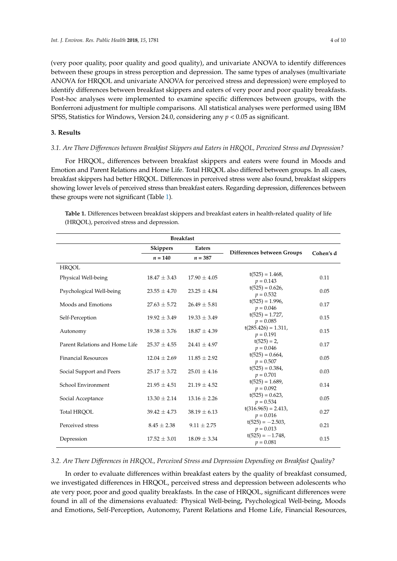(very poor quality, poor quality and good quality), and univariate ANOVA to identify differences between these groups in stress perception and depression. The same types of analyses (multivariate ANOVA for HRQOL and univariate ANOVA for perceived stress and depression) were employed to identify differences between breakfast skippers and eaters of very poor and poor quality breakfasts. Post-hoc analyses were implemented to examine specific differences between groups, with the Bonferroni adjustment for multiple comparisons. All statistical analyses were performed using IBM SPSS, Statistics for Windows, Version 24.0, considering any *p* < 0.05 as significant.

# **3. Results**

# *3.1. Are There Differences between Breakfast Skippers and Eaters in HRQOL, Perceived Stress and Depression?*

For HRQOL, differences between breakfast skippers and eaters were found in Moods and Emotion and Parent Relations and Home Life. Total HRQOL also differed between groups. In all cases, breakfast skippers had better HRQOL. Differences in perceived stress were also found, breakfast skippers showing lower levels of perceived stress than breakfast eaters. Regarding depression, differences between these groups were not significant (Table [1\)](#page-3-0).

<span id="page-3-0"></span>

| Table 1. Differences between breakfast skippers and breakfast eaters in health-related quality of life |  |
|--------------------------------------------------------------------------------------------------------|--|
| (HRQOL), perceived stress and depression.                                                              |  |

|                                |                  | <b>Breakfast</b> |                                       |           |
|--------------------------------|------------------|------------------|---------------------------------------|-----------|
|                                | <b>Skippers</b>  | <b>Eaters</b>    | Differences between Groups            |           |
|                                | $n = 140$        | $n = 387$        |                                       | Cohen's d |
| <b>HRQOL</b>                   |                  |                  |                                       |           |
| Physical Well-being            | $18.47 \pm 3.43$ | $17.90 \pm 4.05$ | $t(525) = 1.468$ ,<br>$p = 0.143$     | 0.11      |
| Psychological Well-being       | $23.55 \pm 4.70$ | $23.25 \pm 4.84$ | $t(525) = 0.626$<br>$p = 0.532$       | 0.05      |
| Moods and Emotions             | $27.63 \pm 5.72$ | $26.49 \pm 5.81$ | $t(525) = 1.996$<br>$p = 0.046$       | 0.17      |
| Self-Perception                | $19.92 \pm 3.49$ | $19.33 \pm 3.49$ | $t(525) = 1.727$ ,<br>$p = 0.085$     | 0.15      |
| Autonomy                       | $19.38 \pm 3.76$ | $18.87 \pm 4.39$ | $t(285.426) = 1.311,$<br>$p = 0.191$  | 0.15      |
| Parent Relations and Home Life | $25.37 \pm 4.55$ | $24.41 \pm 4.97$ | $t(525) = 2,$<br>$p = 0.046$          | 0.17      |
| <b>Financial Resources</b>     | $12.04 \pm 2.69$ | $11.85 \pm 2.92$ | $t(525) = 0.664$<br>$p = 0.507$       | 0.05      |
| Social Support and Peers       | $25.17 \pm 3.72$ | $25.01 \pm 4.16$ | $t(525) = 0.384$<br>$p = 0.701$       | 0.03      |
| School Environment             | $21.95 \pm 4.51$ | $21.19 \pm 4.52$ | $t(525) = 1.689$ ,<br>$p = 0.092$     | 0.14      |
| Social Acceptance              | $13.30 \pm 2.14$ | $13.16 \pm 2.26$ | $t(525) = 0.623$<br>$p = 0.534$       | 0.05      |
| <b>Total HRQOL</b>             | $39.42 \pm 4.73$ | $38.19 \pm 6.13$ | $t(316.965) = 2.413$ ,<br>$p = 0.016$ | 0.27      |
| Perceived stress               | $8.45 \pm 2.38$  | $9.11 \pm 2.75$  | $t(525) = -2.503$ ,<br>$p = 0.013$    | 0.21      |
| Depression                     | $17.52 \pm 3.01$ | $18.09 \pm 3.34$ | $t(525) = -1.748$ ,<br>$p = 0.081$    | 0.15      |

## *3.2. Are There Differences in HRQOL, Perceived Stress and Depression Depending on Breakfast Quality?*

In order to evaluate differences within breakfast eaters by the quality of breakfast consumed, we investigated differences in HRQOL, perceived stress and depression between adolescents who ate very poor, poor and good quality breakfasts. In the case of HRQOL, significant differences were found in all of the dimensions evaluated: Physical Well-being, Psychological Well-being, Moods and Emotions, Self-Perception, Autonomy, Parent Relations and Home Life, Financial Resources,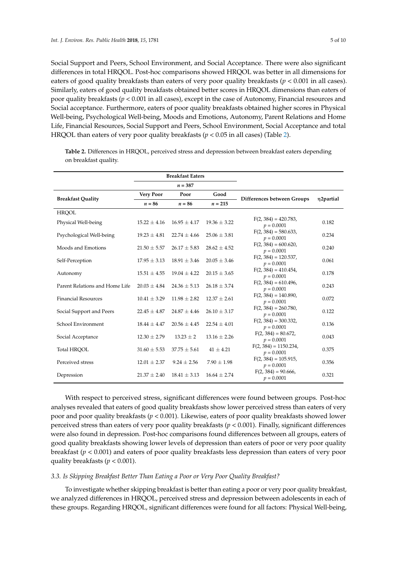Social Support and Peers, School Environment, and Social Acceptance. There were also significant differences in total HRQOL. Post-hoc comparisons showed HRQOL was better in all dimensions for eaters of good quality breakfasts than eaters of very poor quality breakfasts (*p* < 0.001 in all cases). Similarly, eaters of good quality breakfasts obtained better scores in HRQOL dimensions than eaters of poor quality breakfasts (*p* < 0.001 in all cases), except in the case of Autonomy, Financial resources and Social acceptance. Furthermore, eaters of poor quality breakfasts obtained higher scores in Physical Well-being, Psychological Well-being, Moods and Emotions, Autonomy, Parent Relations and Home Life, Financial Resources, Social Support and Peers, School Environment, Social Acceptance and total HRQOL than eaters of very poor quality breakfasts  $(p < 0.05$  in all cases) (Table [2\)](#page-4-0).

|                                | <b>Breakfast Eaters</b> |                  |                  |                                         |           |
|--------------------------------|-------------------------|------------------|------------------|-----------------------------------------|-----------|
|                                |                         | $n = 387$        |                  |                                         |           |
| <b>Breakfast Quality</b>       | <b>Very Poor</b>        | Poor             | Good             | Differences between Groups              | η2partial |
|                                | $n = 86$<br>$n = 86$    |                  | $n = 215$        |                                         |           |
| <b>HROOL</b>                   |                         |                  |                  |                                         |           |
| Physical Well-being            | $15.22 \pm 4.16$        | $16.95 \pm 4.17$ | $19.36 \pm 3.22$ | $F(2, 384) = 420.783$ ,<br>$p = 0.0001$ | 0.182     |
| Psychological Well-being       | $19.23 \pm 4.81$        | $22.74 + 4.66$   | $25.06 + 3.81$   | $F(2, 384) = 580.633$ ,<br>$p = 0.0001$ | 0.234     |
| Moods and Emotions             | $21.50 \pm 5.57$        | $26.17 \pm 5.83$ | $28.62 \pm 4.52$ | $F(2, 384) = 600.620$ ,<br>$p = 0.0001$ | 0.240     |
| Self-Perception                | $17.95 \pm 3.13$        | $18.91 \pm 3.46$ | $20.05 \pm 3.46$ | $F(2, 384) = 120.537$ ,<br>$p = 0.0001$ | 0.061     |
| Autonomy                       | $15.51 \pm 4.55$        | $19.04 \pm 4.22$ | $20.15 \pm 3.65$ | $F(2, 384) = 410.454,$<br>$p = 0.0001$  | 0.178     |
| Parent Relations and Home Life | $20.03 \pm 4.84$        | $24.36 + 5.13$   | $26.18 \pm 3.74$ | $F(2, 384) = 610.496$ ,<br>$p = 0.0001$ | 0.243     |
| <b>Financial Resources</b>     | $10.41 \pm 3.29$        | $11.98 \pm 2.82$ | $12.37 \pm 2.61$ | $F(2, 384) = 140.890,$<br>$p = 0.0001$  | 0.072     |
| Social Support and Peers       | $22.45 \pm 4.87$        | $24.87 \pm 4.46$ | $26.10 \pm 3.17$ | $F(2, 384) = 260.780,$<br>$p = 0.0001$  | 0.122     |
| School Environment             | $18.44 + 4.47$          | $20.56 + 4.45$   | $22.54 + 4.01$   | $F(2, 384) = 300.332,$<br>$p = 0.0001$  | 0.136     |
| Social Acceptance              | $12.30 \pm 2.79$        | $13.23 \pm 2$    | $13.16 \pm 2.26$ | $F(2, 384) = 80.672,$<br>$p = 0.0001$   | 0.043     |
| <b>Total HROOL</b>             | $31.60 \pm 5.53$        | $37.75 \pm 5.61$ | $41 + 4.21$      | $F(2, 384) = 1150.234,$<br>$p = 0.0001$ | 0.375     |
| Perceived stress               | $12.01 \pm 2.37$        | $9.24 \pm 2.56$  | $7.90 \pm 1.98$  | $F(2, 384) = 105.915$ ,<br>$p = 0.0001$ | 0.356     |
| Depression                     | $21.37 \pm 2.40$        | $18.41 \pm 3.13$ | $16.64 \pm 2.74$ | $F(2, 384) = 90.666$ ,<br>$p = 0.0001$  | 0.321     |

<span id="page-4-0"></span>**Table 2.** Differences in HRQOL, perceived stress and depression between breakfast eaters depending on breakfast quality.

With respect to perceived stress, significant differences were found between groups. Post-hoc analyses revealed that eaters of good quality breakfasts show lower perceived stress than eaters of very poor and poor quality breakfasts (*p* < 0.001). Likewise, eaters of poor quality breakfasts showed lower perceived stress than eaters of very poor quality breakfasts (*p* < 0.001). Finally, significant differences were also found in depression. Post-hoc comparisons found differences between all groups, eaters of good quality breakfasts showing lower levels of depression than eaters of poor or very poor quality breakfast (*p* < 0.001) and eaters of poor quality breakfasts less depression than eaters of very poor quality breakfasts (*p* < 0.001).

## *3.3. Is Skipping Breakfast Better Than Eating a Poor or Very Poor Quality Breakfast?*

To investigate whether skipping breakfast is better than eating a poor or very poor quality breakfast, we analyzed differences in HRQOL, perceived stress and depression between adolescents in each of these groups. Regarding HRQOL, significant differences were found for all factors: Physical Well-being,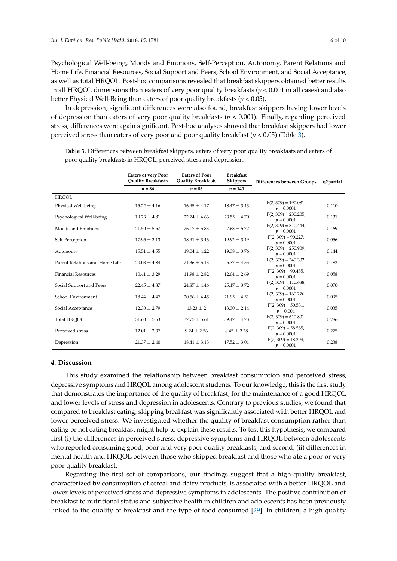Psychological Well-being, Moods and Emotions, Self-Perception, Autonomy, Parent Relations and Home Life, Financial Resources, Social Support and Peers, School Environment, and Social Acceptance, as well as total HRQOL. Post-hoc comparisons revealed that breakfast skippers obtained better results in all HRQOL dimensions than eaters of very poor quality breakfasts ( $p < 0.001$  in all cases) and also better Physical Well-Being than eaters of poor quality breakfasts (*p* < 0.05).

In depression, significant differences were also found, breakfast skippers having lower levels of depression than eaters of very poor quality breakfasts (*p* < 0.001). Finally, regarding perceived stress, differences were again significant. Post-hoc analyses showed that breakfast skippers had lower perceived stress than eaters of very poor and poor quality breakfast  $(p < 0.05)$  (Table [3\)](#page-5-0).

|                                | <b>Eaters of very Poor</b><br><b>Ouality Breakfasts</b> | <b>Eaters of Poor</b><br><b>Quality Breakfasts</b> | <b>Breakfast</b><br><b>Skippers</b> | Differences between Groups              | η2partial |
|--------------------------------|---------------------------------------------------------|----------------------------------------------------|-------------------------------------|-----------------------------------------|-----------|
|                                | $n = 86$                                                | $n = 86$                                           | $n = 140$                           |                                         |           |
| <b>HROOL</b>                   |                                                         |                                                    |                                     |                                         |           |
| Physical Well-being            | $15.22 \pm 4.16$                                        | $16.95 \pm 4.17$                                   | $18.47 \pm 3.43$                    | $F(2, 309) = 190.081$ ,<br>$p = 0.0001$ | 0.110     |
| Psychological Well-being       | $19.23 \pm 4.81$                                        | $22.74 \pm 4.66$                                   | $23.55 \pm 4.70$                    | $F(2, 309) = 230.205$<br>$p = 0.0001$   | 0.131     |
| Moods and Emotions             | $21.50 \pm 5.57$                                        | $26.17 \pm 5.83$                                   | $27.63 \pm 5.72$                    | $F(2, 309) = 310.444$ ,<br>$p = 0.0001$ | 0.169     |
| Self-Perception                | $17.95 \pm 3.13$                                        | $18.91 \pm 3.46$                                   | $19.92 \pm 3.49$                    | $F(2, 309) = 90.227$<br>$p = 0.0001$    | 0.056     |
| Autonomy                       | $15.51 \pm 4.55$                                        | $19.04 \pm 4.22$                                   | $19.38 \pm 3.76$                    | $F(2, 309) = 250.909$ ,<br>$p = 0.0001$ | 0.144     |
| Parent Relations and Home Life | $20.03 \pm 4.84$                                        | $24.36 \pm 5.13$                                   | $25.37 \pm 4.55$                    | $F(2, 309) = 340.302$<br>$p = 0.0001$   | 0.182     |
| <b>Financial Resources</b>     | $10.41 \pm 3.29$                                        | $11.98 \pm 2.82$                                   | $12.04 \pm 2.69$                    | $F(2, 309) = 90.485$ ,<br>$p = 0.0001$  | 0.058     |
| Social Support and Peers       | $22.45 \pm 4.87$                                        | $24.87 \pm 4.46$                                   | $25.17 \pm 3.72$                    | $F(2, 309) = 110.688$ ,<br>$p = 0.0001$ | 0.070     |
| School Environment             | $18.44 \pm 4.47$                                        | $20.56 \pm 4.45$                                   | $21.95 \pm 4.51$                    | $F(2, 309) = 160.276$<br>$p = 0.0001$   | 0.095     |
| Social Acceptance              | $12.30 \pm 2.79$                                        | $13.23 \pm 2$                                      | $13.30 \pm 2.14$                    | $F(2, 309) = 50.531$ ,<br>$p = 0.004$   | 0.035     |
| <b>Total HROOL</b>             | $31.60 \pm 5.53$                                        | $37.75 \pm 5.61$                                   | $39.42 \pm 4.73$                    | $F(2, 309) = 610.801,$<br>$p = 0.0001$  | 0.286     |
| Perceived stress               | $12.01 \pm 2.37$                                        | $9.24 \pm 2.56$                                    | $8.45 \pm 2.38$                     | $F(2, 309) = 58.585$<br>$p = 0.0001$    | 0.275     |
| Depression                     | $21.37 \pm 2.40$                                        | $18.41 + 3.13$                                     | $17.52 \pm 3.01$                    | $F(2, 309) = 48.204$<br>$p = 0.0001$    | 0.238     |

<span id="page-5-0"></span>**Table 3.** Differences between breakfast skippers, eaters of very poor quality breakfasts and eaters of poor quality breakfasts in HRQOL, perceived stress and depression.

## **4. Discussion**

This study examined the relationship between breakfast consumption and perceived stress, depressive symptoms and HRQOL among adolescent students. To our knowledge, this is the first study that demonstrates the importance of the quality of breakfast, for the maintenance of a good HRQOL and lower levels of stress and depression in adolescents. Contrary to previous studies, we found that compared to breakfast eating, skipping breakfast was significantly associated with better HRQOL and lower perceived stress. We investigated whether the quality of breakfast consumption rather than eating or not eating breakfast might help to explain these results. To test this hypothesis, we compared first (i) the differences in perceived stress, depressive symptoms and HRQOL between adolescents who reported consuming good, poor and very poor quality breakfasts, and second; (ii) differences in mental health and HRQOL between those who skipped breakfast and those who ate a poor or very poor quality breakfast.

Regarding the first set of comparisons, our findings suggest that a high-quality breakfast, characterized by consumption of cereal and dairy products, is associated with a better HRQOL and lower levels of perceived stress and depressive symptoms in adolescents. The positive contribution of breakfast to nutritional status and subjective health in children and adolescents has been previously linked to the quality of breakfast and the type of food consumed [\[29\]](#page-9-5). In children, a high quality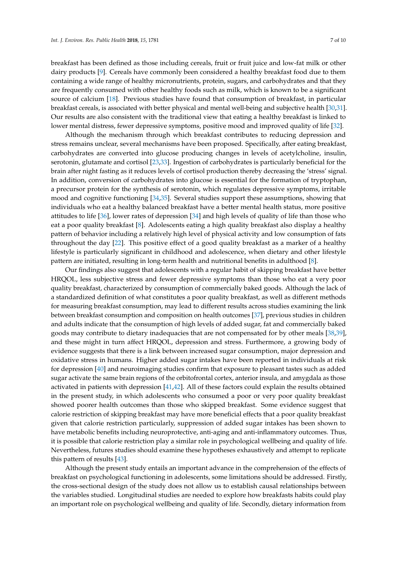breakfast has been defined as those including cereals, fruit or fruit juice and low-fat milk or other dairy products [\[9\]](#page-8-3). Cereals have commonly been considered a healthy breakfast food due to them containing a wide range of healthy micronutrients, protein, sugars, and carbohydrates and that they are frequently consumed with other healthy foods such as milk, which is known to be a significant source of calcium [\[18\]](#page-8-12). Previous studies have found that consumption of breakfast, in particular breakfast cereals, is associated with better physical and mental well-being and subjective health [\[30](#page-9-6)[,31\]](#page-9-7). Our results are also consistent with the traditional view that eating a healthy breakfast is linked to lower mental distress, fewer depressive symptoms, positive mood and improved quality of life [\[32\]](#page-9-8).

Although the mechanism through which breakfast contributes to reducing depression and stress remains unclear, several mechanisms have been proposed. Specifically, after eating breakfast, carbohydrates are converted into glucose producing changes in levels of acetylcholine, insulin, serotonin, glutamate and cortisol [\[23](#page-8-16)[,33\]](#page-9-9). Ingestion of carbohydrates is particularly beneficial for the brain after night fasting as it reduces levels of cortisol production thereby decreasing the 'stress' signal. In addition, conversion of carbohydrates into glucose is essential for the formation of tryptophan, a precursor protein for the synthesis of serotonin, which regulates depressive symptoms, irritable mood and cognitive functioning [\[34,](#page-9-10)[35\]](#page-9-11). Several studies support these assumptions, showing that individuals who eat a healthy balanced breakfast have a better mental health status, more positive attitudes to life [\[36\]](#page-9-12), lower rates of depression [\[34\]](#page-9-10) and high levels of quality of life than those who eat a poor quality breakfast [\[8\]](#page-8-2). Adolescents eating a high quality breakfast also display a healthy pattern of behavior including a relatively high level of physical activity and low consumption of fats throughout the day [\[22\]](#page-8-15). This positive effect of a good quality breakfast as a marker of a healthy lifestyle is particularly significant in childhood and adolescence, when dietary and other lifestyle pattern are initiated, resulting in long-term health and nutritional benefits in adulthood [\[8\]](#page-8-2).

Our findings also suggest that adolescents with a regular habit of skipping breakfast have better HRQOL, less subjective stress and fewer depressive symptoms than those who eat a very poor quality breakfast, characterized by consumption of commercially baked goods. Although the lack of a standardized definition of what constitutes a poor quality breakfast, as well as different methods for measuring breakfast consumption, may lead to different results across studies examining the link between breakfast consumption and composition on health outcomes [\[37\]](#page-9-13), previous studies in children and adults indicate that the consumption of high levels of added sugar, fat and commercially baked goods may contribute to dietary inadequacies that are not compensated for by other meals [\[38,](#page-9-14)[39\]](#page-9-15), and these might in turn affect HRQOL, depression and stress. Furthermore, a growing body of evidence suggests that there is a link between increased sugar consumption, major depression and oxidative stress in humans. Higher added sugar intakes have been reported in individuals at risk for depression [\[40\]](#page-9-16) and neuroimaging studies confirm that exposure to pleasant tastes such as added sugar activate the same brain regions of the orbitofrontal cortex, anterior insula, and amygdala as those activated in patients with depression [\[41,](#page-9-17)[42\]](#page-9-18). All of these factors could explain the results obtained in the present study, in which adolescents who consumed a poor or very poor quality breakfast showed poorer health outcomes than those who skipped breakfast. Some evidence suggest that calorie restriction of skipping breakfast may have more beneficial effects that a poor quality breakfast given that calorie restriction particularly, suppression of added sugar intakes has been shown to have metabolic benefits including neuroprotective, anti-aging and anti-inflammatory outcomes. Thus, it is possible that calorie restriction play a similar role in psychological wellbeing and quality of life. Nevertheless, futures studies should examine these hypotheses exhaustively and attempt to replicate this pattern of results [\[43\]](#page-9-19).

Although the present study entails an important advance in the comprehension of the effects of breakfast on psychological functioning in adolescents, some limitations should be addressed. Firstly, the cross-sectional design of the study does not allow us to establish causal relationships between the variables studied. Longitudinal studies are needed to explore how breakfasts habits could play an important role on psychological wellbeing and quality of life. Secondly, dietary information from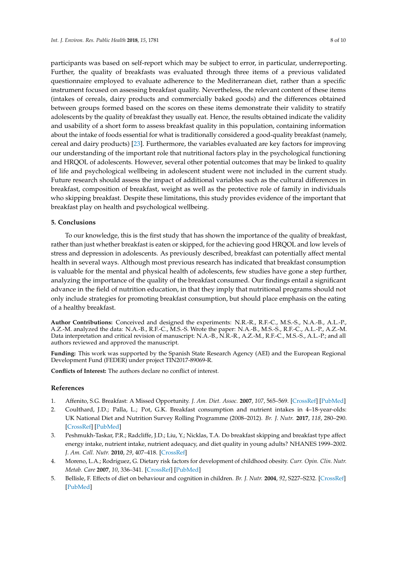participants was based on self-report which may be subject to error, in particular, underreporting. Further, the quality of breakfasts was evaluated through three items of a previous validated questionnaire employed to evaluate adherence to the Mediterranean diet, rather than a specific instrument focused on assessing breakfast quality. Nevertheless, the relevant content of these items (intakes of cereals, dairy products and commercially baked goods) and the differences obtained between groups formed based on the scores on these items demonstrate their validity to stratify adolescents by the quality of breakfast they usually eat. Hence, the results obtained indicate the validity and usability of a short form to assess breakfast quality in this population, containing information about the intake of foods essential for what is traditionally considered a good-quality breakfast (namely, cereal and dairy products) [\[23\]](#page-8-16). Furthermore, the variables evaluated are key factors for improving our understanding of the important role that nutritional factors play in the psychological functioning and HRQOL of adolescents. However, several other potential outcomes that may be linked to quality of life and psychological wellbeing in adolescent student were not included in the current study. Future research should assess the impact of additional variables such as the cultural differences in breakfast, composition of breakfast, weight as well as the protective role of family in individuals who skipping breakfast. Despite these limitations, this study provides evidence of the important that breakfast play on health and psychological wellbeing.

# **5. Conclusions**

To our knowledge, this is the first study that has shown the importance of the quality of breakfast, rather than just whether breakfast is eaten or skipped, for the achieving good HRQOL and low levels of stress and depression in adolescents. As previously described, breakfast can potentially affect mental health in several ways. Although most previous research has indicated that breakfast consumption is valuable for the mental and physical health of adolescents, few studies have gone a step further, analyzing the importance of the quality of the breakfast consumed. Our findings entail a significant advance in the field of nutrition education, in that they imply that nutritional programs should not only include strategies for promoting breakfast consumption, but should place emphasis on the eating of a healthy breakfast.

**Author Contributions:** Conceived and designed the experiments: N.R.-R., R.F.-C., M.S.-S., N.A.-B., A.L.-P., A.Z.-M. analyzed the data: N.A.-B., R.F.-C., M.S.-S. Wrote the paper: N.A.-B., M.S.-S., R.F.-C., A.L.-P., A.Z.-M. Data interpretation and critical revision of manuscript: N.A.-B., N.R.-R., A.Z.-M., R.F.-C., M.S.-S., A.L.-P.; and all authors reviewed and approved the manuscript.

**Funding:** This work was supported by the Spanish State Research Agency (AEI) and the European Regional Development Fund (FEDER) under project TIN2017-89069-R.

**Conflicts of Interest:** The authors declare no conflict of interest.

## **References**

- <span id="page-7-0"></span>1. Affenito, S.G. Breakfast: A Missed Opportunity. *J. Am. Diet. Assoc.* **2007**, *107*, 565–569. [\[CrossRef\]](http://dx.doi.org/10.1016/j.jada.2007.01.011) [\[PubMed\]](http://www.ncbi.nlm.nih.gov/pubmed/17383260)
- <span id="page-7-1"></span>2. Coulthard, J.D.; Palla, L.; Pot, G.K. Breakfast consumption and nutrient intakes in 4–18-year-olds: UK National Diet and Nutrition Survey Rolling Programme (2008–2012). *Br. J. Nutr.* **2017**, *118*, 280–290. [\[CrossRef\]](http://dx.doi.org/10.1017/S0007114517001714) [\[PubMed\]](http://www.ncbi.nlm.nih.gov/pubmed/28814349)
- <span id="page-7-2"></span>3. Peshmukh-Taskar, P.R.; Radcliffe, J.D.; Liu, Y.; Nicklas, T.A. Do breakfast skipping and breakfast type affect energy intake, nutrient intake, nutrient adequacy, and diet quality in young adults? NHANES 1999–2002. *J. Am. Coll. Nutr.* **2010**, *29*, 407–418. [\[CrossRef\]](http://dx.doi.org/10.1080/07315724.2010.10719858)
- <span id="page-7-3"></span>4. Moreno, L.A.; Rodríguez, G. Dietary risk factors for development of childhood obesity. *Curr. Opin. Clin. Nutr. Metab. Care* **2007**, *10*, 336–341. [\[CrossRef\]](http://dx.doi.org/10.1097/MCO.0b013e3280a94f59) [\[PubMed\]](http://www.ncbi.nlm.nih.gov/pubmed/17414504)
- <span id="page-7-4"></span>5. Bellisle, F. Effects of diet on behaviour and cognition in children. *Br. J. Nutr.* **2004**, *92*, S227–S232. [\[CrossRef\]](http://dx.doi.org/10.1079/BJN20041171) [\[PubMed\]](http://www.ncbi.nlm.nih.gov/pubmed/15522161)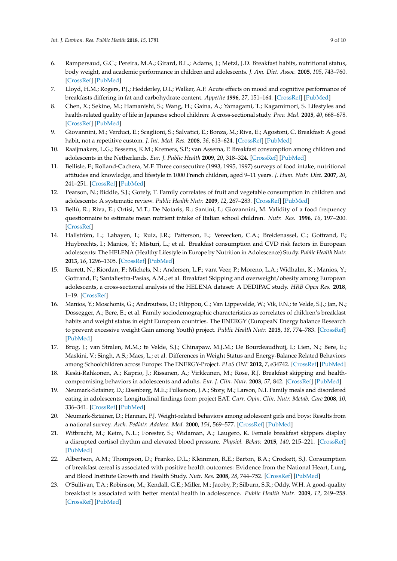- <span id="page-8-0"></span>6. Rampersaud, G.C.; Pereira, M.A.; Girard, B.L.; Adams, J.; Metzl, J.D. Breakfast habits, nutritional status, body weight, and academic performance in children and adolescents. *J. Am. Diet. Assoc.* **2005**, *105*, 743–760. [\[CrossRef\]](http://dx.doi.org/10.1016/j.jada.2005.02.007) [\[PubMed\]](http://www.ncbi.nlm.nih.gov/pubmed/15883552)
- <span id="page-8-1"></span>7. Lloyd, H.M.; Rogers, P.J.; Hedderley, D.I.; Walker, A.F. Acute effects on mood and cognitive performance of breakfasts differing in fat and carbohydrate content. *Appetite* **1996**, *27*, 151–164. [\[CrossRef\]](http://dx.doi.org/10.1006/appe.1996.0042) [\[PubMed\]](http://www.ncbi.nlm.nih.gov/pubmed/8937619)
- <span id="page-8-2"></span>8. Chen, X.; Sekine, M.; Hamanishi, S.; Wang, H.; Gaina, A.; Yamagami, T.; Kagamimori, S. Lifestyles and health-related quality of life in Japanese school children: A cross-sectional study. *Prev. Med.* **2005**, *40*, 668–678. [\[CrossRef\]](http://dx.doi.org/10.1016/j.ypmed.2004.09.034) [\[PubMed\]](http://www.ncbi.nlm.nih.gov/pubmed/15850863)
- <span id="page-8-3"></span>9. Giovannini, M.; Verduci, E.; Scaglioni, S.; Salvatici, E.; Bonza, M.; Riva, E.; Agostoni, C. Breakfast: A good habit, not a repetitive custom. *J. Int. Med. Res.* **2008**, *36*, 613–624. [\[CrossRef\]](http://dx.doi.org/10.1177/147323000803600401) [\[PubMed\]](http://www.ncbi.nlm.nih.gov/pubmed/18652755)
- <span id="page-8-4"></span>10. Raaijmakers, L.G.; Bessems, K.M.; Kremers, S.P.; van Assema, P. Breakfast consumption among children and adolescents in the Netherlands. *Eur. J. Public Health* **2009**, *20*, 318–324. [\[CrossRef\]](http://dx.doi.org/10.1093/eurpub/ckp191) [\[PubMed\]](http://www.ncbi.nlm.nih.gov/pubmed/19948777)
- <span id="page-8-5"></span>11. Bellisle, F.; Rolland-Cachera, M.F. Three consecutive (1993, 1995, 1997) surveys of food intake, nutritional attitudes and knowledge, and lifestyle in 1000 French children, aged 9–11 years. *J. Hum. Nutr. Diet.* **2007**, *20*, 241–251. [\[CrossRef\]](http://dx.doi.org/10.1111/j.1365-277X.2007.00789.x) [\[PubMed\]](http://www.ncbi.nlm.nih.gov/pubmed/17539878)
- <span id="page-8-6"></span>12. Pearson, N.; Biddle, S.J.; Gorely, T. Family correlates of fruit and vegetable consumption in children and adolescents: A systematic review. *Public Health Nutr.* **2009**, *12*, 267–283. [\[CrossRef\]](http://dx.doi.org/10.1017/S1368980008002589) [\[PubMed\]](http://www.ncbi.nlm.nih.gov/pubmed/18559129)
- <span id="page-8-7"></span>13. Bellù, R.; Riva, E.; Ortisi, M.T.; De Notaris, R.; Santini, I.; Giovannini, M. Validity of a food frequency questionnaire to estimate mean nutrient intake of Italian school children. *Nutr. Res.* **1996**, *16*, 197–200. [\[CrossRef\]](http://dx.doi.org/10.1016/0271-5317(96)00003-6)
- <span id="page-8-8"></span>14. Hallström, L.; Labayen, I.; Ruiz, J.R.; Patterson, E.; Vereecken, C.A.; Breidenassel, C.; Gottrand, F.; Huybrechts, I.; Manios, Y.; Misturi, L.; et al. Breakfast consumption and CVD risk factors in European adolescents: The HELENA (Healthy Lifestyle in Europe by Nutrition in Adolescence) Study. *Public Health Nutr.* **2013**, *16*, 1296–1305. [\[CrossRef\]](http://dx.doi.org/10.1017/S1368980012000973) [\[PubMed\]](http://www.ncbi.nlm.nih.gov/pubmed/22494882)
- <span id="page-8-9"></span>15. Barrett, N.; Riordan, F.; Michels, N.; Andersen, L.F.; vant Veer, P.; Moreno, L.A.; Widhalm, K.; Manios, Y.; Gottrand, F.; Santaliestra-Pasías, A.M.; et al. Breakfast Skipping and overweight/obesity among European adolescents, a cross-sectional analysis of the HELENA dataset: A DEDIPAC study. *HRB Open Res.* **2018**, 1–19. [\[CrossRef\]](http://dx.doi.org/10.12688/hrbopenres.12847.1)
- <span id="page-8-10"></span>16. Manios, Y.; Moschonis, G.; Androutsos, O.; Filippou, C.; Van Lippevelde, W.; Vik, F.N.; te Velde, S.J.; Jan, N.; Dössegger, A.; Bere, E.; et al. Family sociodemographic characteristics as correlates of children's breakfast habits and weight status in eight European countries. The ENERGY (EuropeaN Energy balance Research to prevent excessive weight Gain among Youth) project. *Public Health Nutr.* **2015**, *18*, 774–783. [\[CrossRef\]](http://dx.doi.org/10.1017/S1368980014001219) [\[PubMed\]](http://www.ncbi.nlm.nih.gov/pubmed/25017807)
- <span id="page-8-11"></span>17. Brug, J.; van Stralen, M.M.; te Velde, S.J.; Chinapaw, M.J.M.; De Bourdeaudhuij, I.; Lien, N.; Bere, E.; Maskini, V.; Singh, A.S.; Maes, L.; et al. Differences in Weight Status and Energy-Balance Related Behaviors among Schoolchildren across Europe: The ENERGY-Project. *PLoS ONE* **2012**, *7*, e34742. [\[CrossRef\]](http://dx.doi.org/10.1371/journal.pone.0034742) [\[PubMed\]](http://www.ncbi.nlm.nih.gov/pubmed/22558098)
- <span id="page-8-12"></span>18. Keski-Rahkonen, A.; Kaprio, J.; Rissanen, A.; Virkkunen, M.; Rose, R.J. Breakfast skipping and healthcompromising behaviors in adolescents and adults. *Eur. J. Clin. Nutr.* **2003**, *57*, 842. [\[CrossRef\]](http://dx.doi.org/10.1038/sj.ejcn.1601618) [\[PubMed\]](http://www.ncbi.nlm.nih.gov/pubmed/12821884)
- <span id="page-8-13"></span>19. Neumark-Sztainer, D.; Eisenberg, M.E.; Fulkerson, J.A.; Story, M.; Larson, N.I. Family meals and disordered eating in adolescents: Longitudinal findings from project EAT. *Curr. Opin. Clin. Nutr. Metab. Care* **2008**, *10*, 336–341. [\[CrossRef\]](http://dx.doi.org/10.1001/archpediatrics.2007.9) [\[PubMed\]](http://www.ncbi.nlm.nih.gov/pubmed/18180407)
- 20. Neumark-Sztainer, D.; Hannan, P.J. Weight-related behaviors among adolescent girls and boys: Results from a national survey. *Arch. Pediatr. Adolesc. Med.* **2000**, *154*, 569–577. [\[CrossRef\]](http://dx.doi.org/10.1001/archpedi.154.6.569) [\[PubMed\]](http://www.ncbi.nlm.nih.gov/pubmed/10850503)
- <span id="page-8-14"></span>21. Witbracht, M.; Keim, N.L.; Forester, S.; Widaman, A.; Laugero, K. Female breakfast skippers display a disrupted cortisol rhythm and elevated blood pressure. *Physiol. Behav.* **2015**, *140*, 215–221. [\[CrossRef\]](http://dx.doi.org/10.1016/j.physbeh.2014.12.044) [\[PubMed\]](http://www.ncbi.nlm.nih.gov/pubmed/25545767)
- <span id="page-8-15"></span>22. Albertson, A.M.; Thompson, D.; Franko, D.L.; Kleinman, R.E.; Barton, B.A.; Crockett, S.J. Consumption of breakfast cereal is associated with positive health outcomes: Evidence from the National Heart, Lung, and Blood Institute Growth and Health Study. *Nutr. Res.* **2008**, *28*, 744–752. [\[CrossRef\]](http://dx.doi.org/10.1016/j.nutres.2008.09.002) [\[PubMed\]](http://www.ncbi.nlm.nih.gov/pubmed/19083483)
- <span id="page-8-16"></span>23. O'Sullivan, T.A.; Robinson, M.; Kendall, G.E.; Miller, M.; Jacoby, P.; Silburn, S.R.; Oddy, W.H. A good-quality breakfast is associated with better mental health in adolescence. *Public Health Nutr.* **2009**, *12*, 249–258. [\[CrossRef\]](http://dx.doi.org/10.1017/S1368980008003935) [\[PubMed\]](http://www.ncbi.nlm.nih.gov/pubmed/19026092)